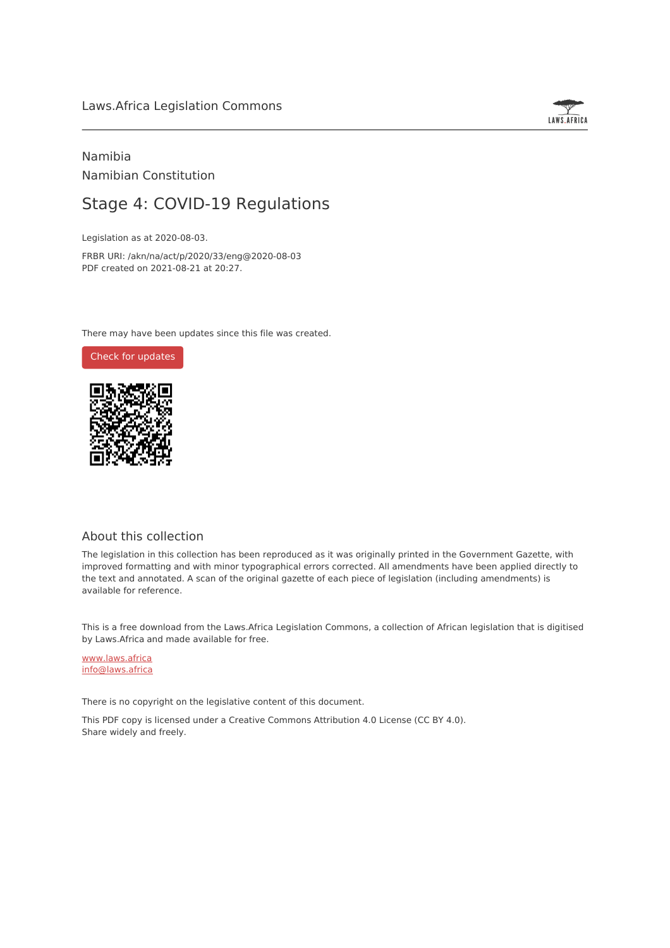# Laws.Africa Legislation Commons



# Namibia Namibian Constitution

# Stage 4: COVID-19 Regulations

Legislation as at 2020-08-03.

FRBR URI: /akn/na/act/p/2020/33/eng@2020-08-03 PDF created on 2021-08-21 at 20:27.

There may have been updates since this file was created.



# About this collection

The legislation in this collection has been reproduced as it was originally printed in the Government Gazette, with improved formatting and with minor typographical errors corrected. All amendments have been applied directly to the text and annotated. A scan of the original gazette of each piece of legislation (including amendments) is available for reference.

This is a free download from the Laws.Africa Legislation Commons, a collection of African legislation that is digitised by Laws.Africa and made available for free.

[www.laws.africa](https://www.laws.africa) [info@laws.africa](mailto:info@laws.africa)

There is no copyright on the legislative content of this document.

This PDF copy is licensed under a Creative Commons Attribution 4.0 License (CC BY 4.0). Share widely and freely.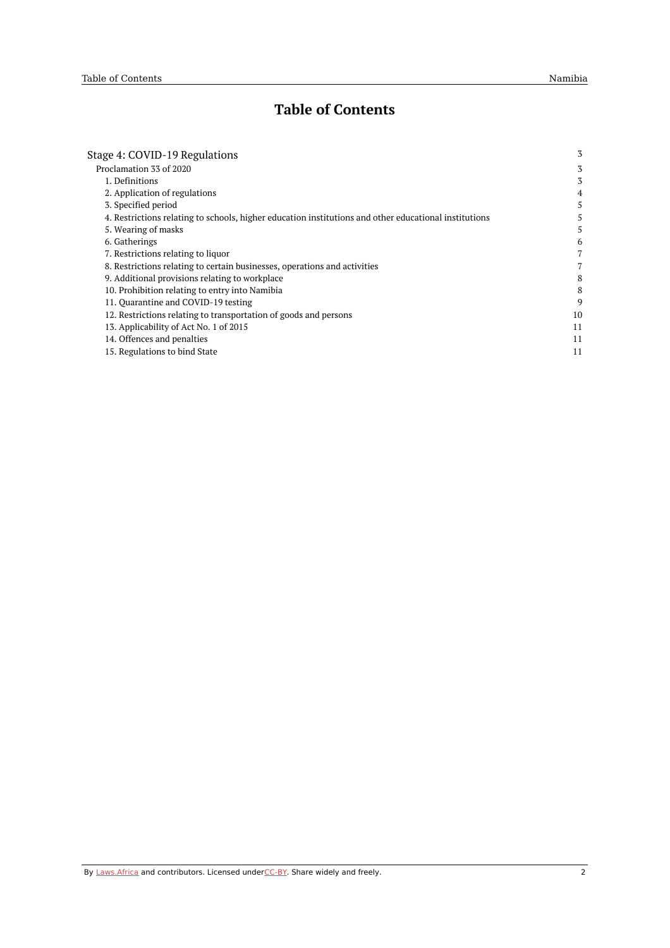# **Table of Contents**

| Stage 4: COVID-19 Regulations                                                                         | 3              |
|-------------------------------------------------------------------------------------------------------|----------------|
| Proclamation 33 of 2020                                                                               | 3              |
| 1. Definitions                                                                                        | 3              |
| 2. Application of regulations                                                                         | 4              |
| 3. Specified period                                                                                   | 5              |
| 4. Restrictions relating to schools, higher education institutions and other educational institutions | 5              |
| 5. Wearing of masks                                                                                   | 5              |
| 6. Gatherings                                                                                         | 6              |
| 7. Restrictions relating to liquor                                                                    | $\overline{7}$ |
| 8. Restrictions relating to certain businesses, operations and activities                             | 7              |
| 9. Additional provisions relating to workplace                                                        | 8              |
| 10. Prohibition relating to entry into Namibia                                                        | 8              |
| 11. Ouarantine and COVID-19 testing                                                                   | 9              |
| 12. Restrictions relating to transportation of goods and persons                                      | 10             |
| 13. Applicability of Act No. 1 of 2015                                                                | 11             |
| 14. Offences and penalties                                                                            | 11             |
| 15. Regulations to bind State                                                                         | 11             |
|                                                                                                       |                |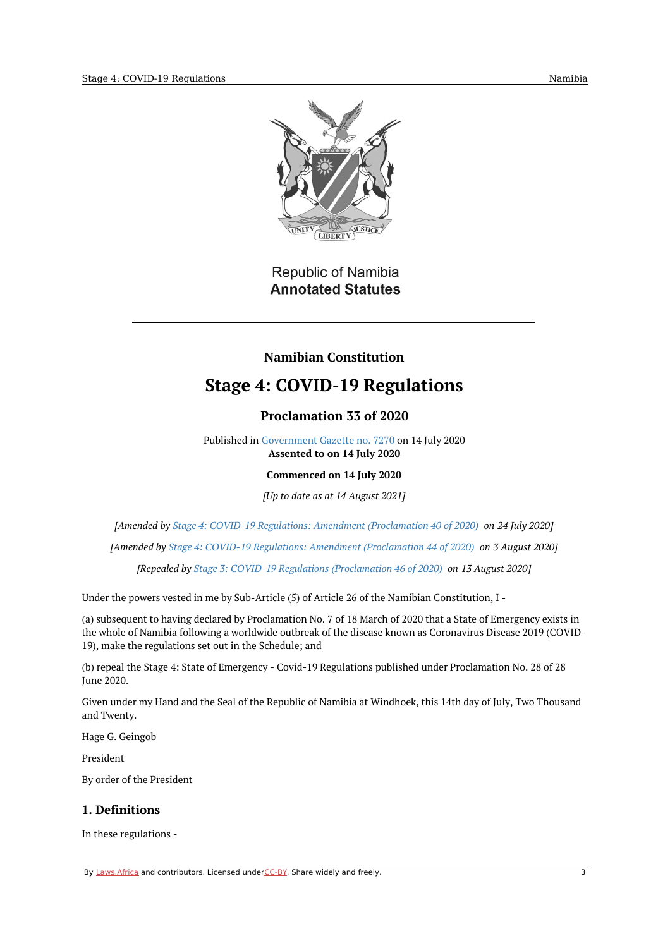

Republic of Namibia **Annotated Statutes** 

# **Namibian Constitution**

# <span id="page-2-0"></span>**Stage 4: COVID-19 Regulations**

# **Proclamation 33 of 2020**

Published in [Government](https://commons.laws.africa/akn/na/act/p/2020/33/media/publication/na-act-p-2020-33-publication-document.pdf) Gazette no. 7270 on 14 July 2020 **Assented to on 14 July 2020**

**Commenced on 14 July 2020**

*[Up to date as at 14 August 2021]*

<span id="page-2-1"></span>*[Amended by Stage 4: COVID-19 Regulations: Amendment [\(Proclamation](https://africanlii.org/akn/na/act/p/2020/40) 40 of 2020) on 24 July 2020]*

*[Amended by Stage 4: COVID-19 Regulations: Amendment [\(Proclamation](https://africanlii.org/akn/na/act/p/2020/44) 44 of 2020) on 3 August 2020]*

*[Repealed by Stage 3: COVID-19 Regulations [\(Proclamation](https://africanlii.org/akn/na/act/p/2020/46) 46 of 2020) on 13 August 2020]*

Under the powers vested in me by Sub-Article (5) of Article 26 of the Namibian Constitution, I -

(a) subsequent to having declared by Proclamation No. 7 of 18 March of 2020 that a State of Emergency exists in the whole of Namibia following a worldwide outbreak of the disease known as Coronavirus Disease 2019 (COVID-19), make the regulations set out in the Schedule; and

(b) repeal the Stage 4: State of Emergency - Covid-19 Regulations published under Proclamation No. 28 of 28 June 2020.

Given under my Hand and the Seal of the Republic of Namibia at Windhoek, this 14th day of July, Two Thousand and Twenty.

Hage G. Geingob

President

By order of the President

# <span id="page-2-2"></span>**1. Definitions**

In these regulations -

By [Laws.Africa](https://edit.laws.africa/widgets/pdf-attribution) and contributors. Licensed und[erCC-B](https://edit.laws.africa/widgets/pdf-cc-by)Y. Share widely and freely. 3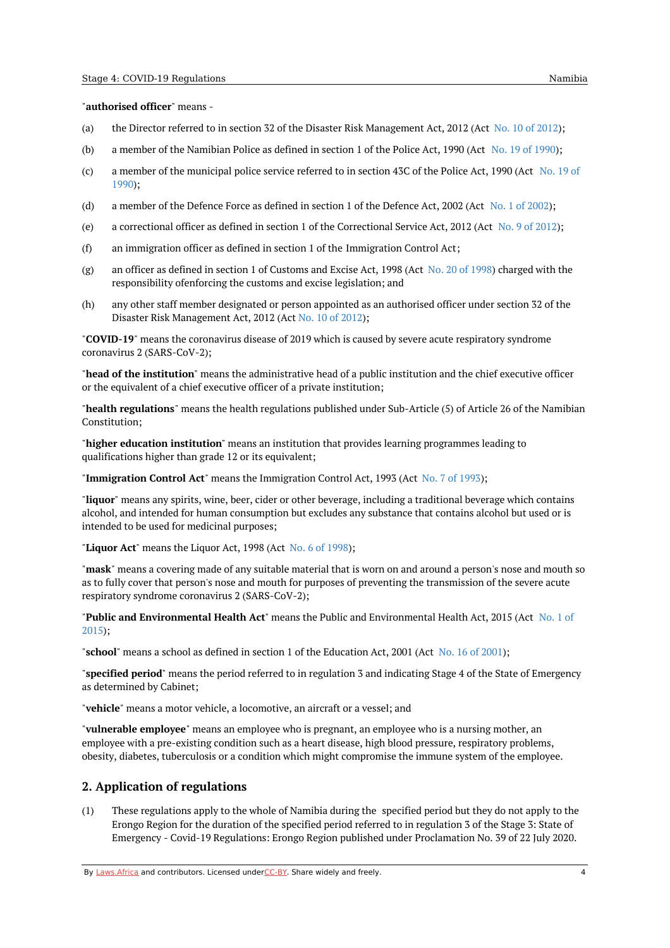#### "**authorised officer**" means -

- (a) the Director referred to in section 32 of the Disaster Risk Management Act, [2012](https://africanlii.org/akn/na/act/2012/10) (Act No. 10 of 2012);
- (b) a member of the Namibian Police as defined in section 1 of the Police Act, 1990 (Act No. 19 of [1990](https://africanlii.org/akn/na/act/1990/19));
- (c) a member of the [municipal](https://africanlii.org/akn/na/act/1990/19) police service referred to in section 43C of the Police Act, 1990 (Act No. 19 of 1990);
- (d) a member of the Defence Force as defined in section 1 of the Defence Act, 2002 (Act No. 1 of [2002](https://africanlii.org/akn/na/act/2002/1));
- (e) a correctional officer as defined in section 1 of the Correctional Service Act, [2012](https://africanlii.org/akn/na/act/2012/9) (Act No. 9 of 2012);
- (f) an immigration officer as defined in section 1 of the Immigration Control Act;
- (g) an officer as defined in section 1 of Customs and Excise Act, 1998 (Act No. 20 of [1998](https://africanlii.org/akn/na/act/1998/20)) charged with the responsibility ofenforcing the customs and excise legislation; and
- (h) any other staff member designated or person appointed as an authorised officer under section 32 of the Disaster Risk Management Act, 2012 (Act No. 10 of [2012](https://africanlii.org/akn/na/act/2012/10));

"**COVID-19**" means the coronavirus disease of 2019 which is caused by severe acute respiratory syndrome coronavirus 2 (SARS-CoV-2);

"**head of the institution**" means the administrative head of a public institution and the chief executive officer or the equivalent of a chief executive officer of a private institution;

"**health regulations**" means the health regulations published under Sub-Article (5) of Article 26 of the Namibian Constitution;

"**higher education institution**" means an institution that provides learning programmes leading to qualifications higher than grade 12 or its equivalent;

"**Immigration Control Act**" means the Immigration Control Act, 1993 (Act No. 7 of [1993](https://africanlii.org/akn/na/act/1993/7));

"**liquor**" means any spirits, wine, beer, cider or other beverage, including a traditional beverage which contains alcohol, and intended for human consumption but excludes any substance that contains alcohol but used or is intended to be used for medicinal purposes;

"**Liquor Act**" means the Liquor Act, 1998 (Act No. 6 of [1998](https://africanlii.org/akn/na/act/1998/6));

"**mask**" means a covering made of any suitable material that is worn on and around a person's nose and mouth so as to fully cover that person's nose and mouth for purposes of preventing the transmission of the severe acute respiratory syndrome coronavirus 2 (SARS-CoV-2);

"**Public and [Environmental](https://africanlii.org/akn/na/act/2015/1) Health Act**" means the Public and Environmental Health Act, 2015 (Act No. 1 of 2015);

"**school**" means a school as defined in section 1 of the Education Act, 2001 (Act No. 16 of [2001](https://africanlii.org/akn/na/act/2001/16));

"**specified period**" means the period referred to in regulation 3 and indicating Stage 4 of the State of Emergency as determined by Cabinet;

"**vehicle**" means a motor vehicle, a locomotive, an aircraft or a vessel; and

"**vulnerable employee**" means an employee who is pregnant, an employee who is a nursing mother, an employee with a pre-existing condition such as a heart disease, high blood pressure, respiratory problems, obesity, diabetes, tuberculosis or a condition which might compromise the immune system of the employee.

## <span id="page-3-0"></span>**2. Application of regulations**

(1) These regulations apply to the whole of Namibia during the specified period but they do not apply to the Erongo Region for the duration of the specified period referred to in regulation 3 of the Stage 3: State of Emergency - Covid-19 Regulations: Erongo Region published under Proclamation No. 39 of 22 July 2020.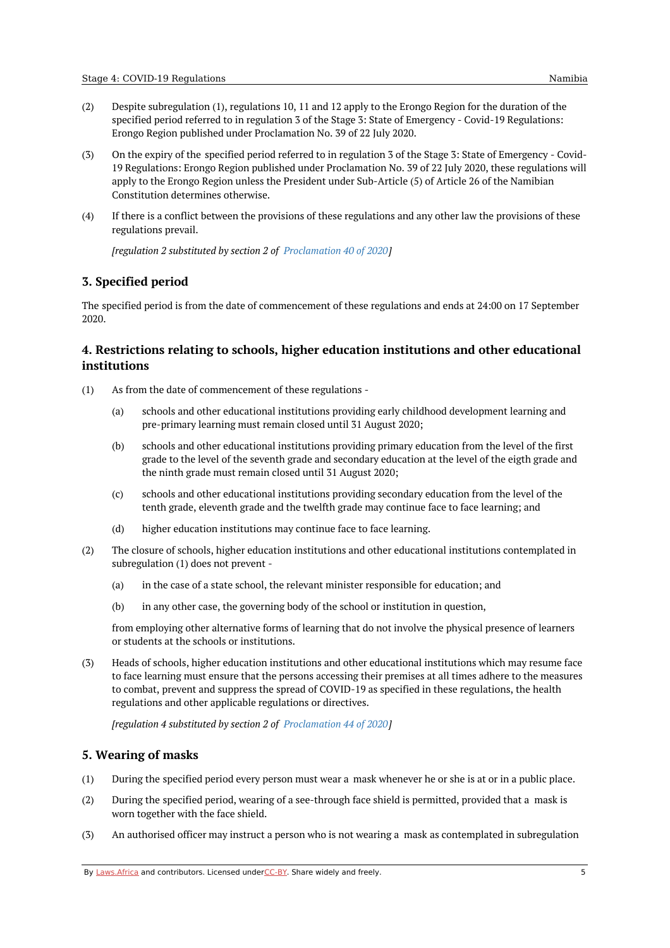- (2) Despite subregulation (1), regulations 10, 11 and 12 apply to the Erongo Region for the duration of the specified period referred to in regulation 3 of the Stage 3: State of Emergency - Covid-19 Regulations: Erongo Region published under Proclamation No. 39 of 22 July 2020.
- (3) On the expiry of the specified period referred to in regulation 3 of the Stage 3: State of Emergency - Covid-19 Regulations: Erongo Region published under Proclamation No. 39 of 22 July 2020, these regulations will apply to the Erongo Region unless the President under Sub-Article (5) of Article 26 of the Namibian Constitution determines otherwise.
- (4) If there is a conflict between the provisions of these regulations and any other law the provisions of these regulations prevail.

*[regulation 2 substituted by section 2 of [Proclamation](https://africanlii.org/akn/na/act/p/2020/40) 40 of 2020]*

# <span id="page-4-0"></span>**3. Specified period**

The specified period is from the date of commencement of these regulations and ends at 24:00 on 17 September 2020.

# <span id="page-4-1"></span>**4. Restrictions relating to schools, higher education institutions and other educational institutions**

- (1) As from the date of commencement of these regulations -
	- (a) schools and other educational institutions providing early childhood development learning and pre-primary learning must remain closed until 31 August 2020;
	- (b) schools and other educational institutions providing primary education from the level of the first grade to the level of the seventh grade and secondary education at the level of the eigth grade and the ninth grade must remain closed until 31 August 2020;
	- (c) schools and other educational institutions providing secondary education from the level of the tenth grade, eleventh grade and the twelfth grade may continue face to face learning; and
	- (d) higher education institutions may continue face to face learning.
- (2) The closure of schools, higher education institutions and other educational institutions contemplated in subregulation (1) does not prevent -
	- (a) in the case of a state school, the relevant minister responsible for education; and
	- (b) in any other case, the governing body of the school or institution in question,

from employing other alternative forms of learning that do not involve the physical presence of learners or students at the schools or institutions.

(3) Heads of schools, higher education institutions and other educational institutions which may resume face to face learning must ensure that the persons accessing their premises at all times adhere to the measures to combat, prevent and suppress the spread of COVID-19 as specified in these regulations, the health regulations and other applicable regulations or directives.

*[regulation 4 substituted by section 2 of [Proclamation](https://africanlii.org/akn/na/act/p/2020/44) 44 of 2020]*

# <span id="page-4-2"></span>**5. Wearing of masks**

- (1) During the specified period every person must wear a mask whenever he or she is at or in a public place.
- (2) During the specified period, wearing of a see-through face shield is permitted, provided that a mask is worn together with the face shield.
- (3) An authorised officer may instruct a person who is not wearing a mask as contemplated in subregulation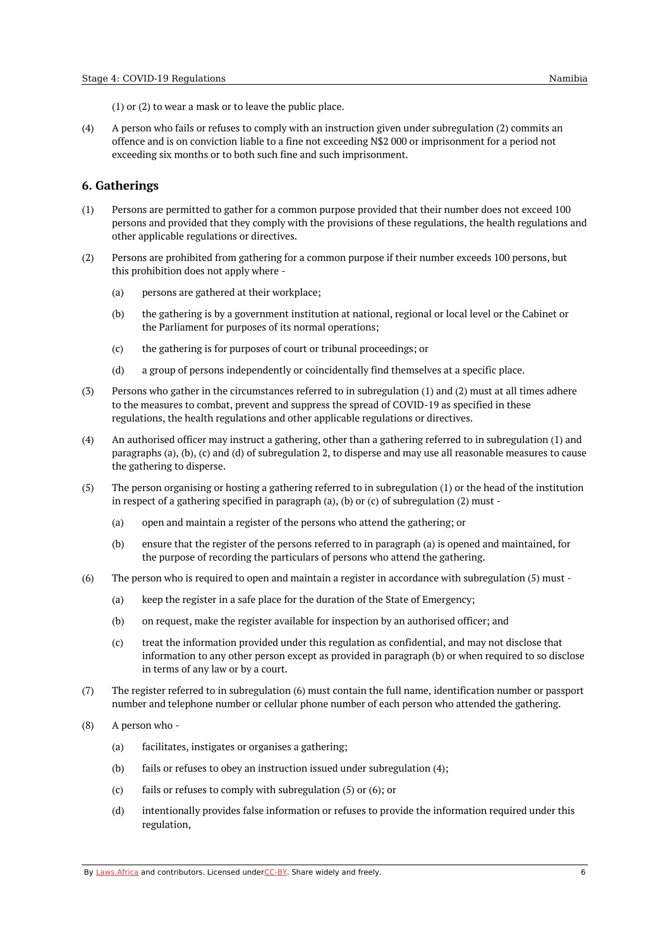(1) or (2) to wear a mask or to leave the public place.

(4) A person who fails or refuses to comply with an instruction given under subregulation (2) commits an offence and is on conviction liable to a fine not exceeding N\$2 000 or imprisonment for a period not exceeding six months or to both such fine and such imprisonment.

## <span id="page-5-0"></span>**6. Gatherings**

- (1) Persons are permitted to gather for a common purpose provided that their number does not exceed 100 persons and provided that they comply with the provisions of these regulations, the health regulations and other applicable regulations or directives.
- (2) Persons are prohibited from gathering for a common purpose if their number exceeds 100 persons, but this prohibition does not apply where -
	- (a) persons are gathered at their workplace;
	- (b) the gathering is by a government institution at national, regional or local level or the Cabinet or the Parliament for purposes of its normal operations;
	- (c) the gathering is for purposes of court or tribunal proceedings; or
	- (d) a group of persons independently or coincidentally find themselves at a specific place.
- (3) Persons who gather in the circumstances referred to in subregulation (1) and (2) must at all times adhere to the measures to combat, prevent and suppress the spread of COVID-19 as specified in these regulations, the health regulations and other applicable regulations or directives.
- (4) An authorised officer may instruct a gathering, other than a gathering referred to in subregulation (1) and paragraphs (a), (b), (c) and (d) of subregulation 2, to disperse and may use all reasonable measures to cause the gathering to disperse.
- (5) The person organising or hosting a gathering referred to in subregulation (1) or the head of the institution in respect of a gathering specified in paragraph (a), (b) or (c) of subregulation (2) must -
	- (a) open and maintain a register of the persons who attend the gathering; or
	- (b) ensure that the register of the persons referred to in paragraph (a) is opened and maintained, for the purpose of recording the particulars of persons who attend the gathering.
- (6) The person who is required to open and maintain a register in accordance with subregulation (5) must -
	- (a) keep the register in a safe place for the duration of the State of Emergency;
	- (b) on request, make the register available for inspection by an authorised officer; and
	- (c) treat the information provided under this regulation as confidential, and may not disclose that information to any other person except as provided in paragraph (b) or when required to so disclose in terms of any law or by a court.
- (7) The register referred to in subregulation (6) must contain the full name, identification number or passport number and telephone number or cellular phone number of each person who attended the gathering.
- (8) A person who -
	- (a) facilitates, instigates or organises a gathering;
	- (b) fails or refuses to obey an instruction issued under subregulation (4);
	- (c) fails or refuses to comply with subregulation (5) or (6); or
	- (d) intentionally provides false information or refuses to provide the information required under this regulation,

By [Laws.Africa](https://edit.laws.africa/widgets/pdf-attribution) and contributors. Licensed und[erCC-B](https://edit.laws.africa/widgets/pdf-cc-by)Y. Share widely and freely.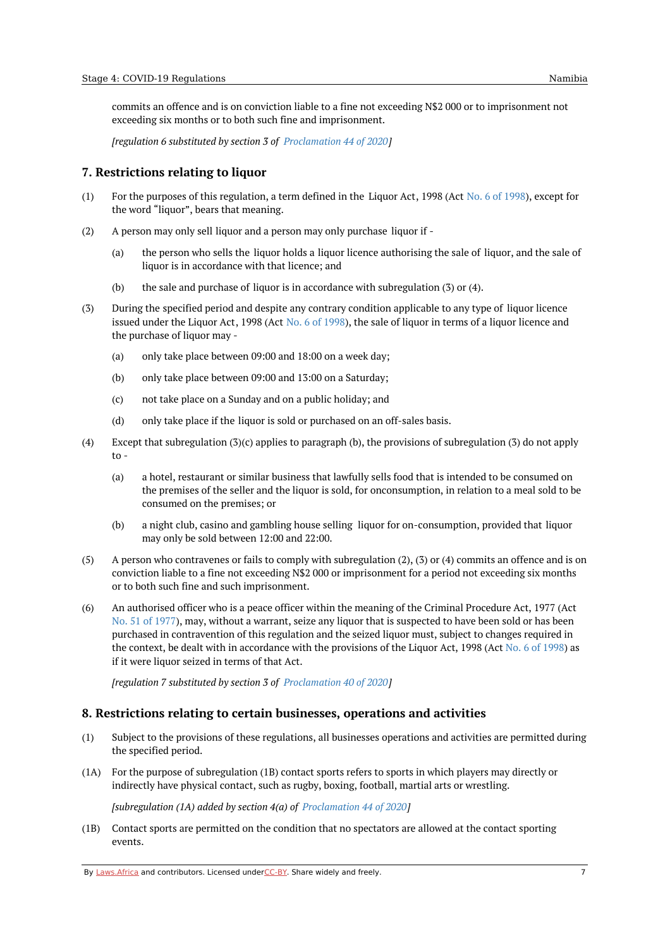commits an offence and is on conviction liable to a fine not exceeding N\$2 000 or to imprisonment not exceeding six months or to both such fine and imprisonment.

*[regulation 6 substituted by section 3 of [Proclamation](https://africanlii.org/akn/na/act/p/2020/44) 44 of 2020]*

#### <span id="page-6-0"></span>**7. Restrictions relating to liquor**

- (1) For the purposes of this regulation, a term defined in the Liquor Act, 1998 (Act No. 6 of [1998](https://africanlii.org/akn/na/act/1998/6)), except for the word "liquor", bears that meaning.
- (2) A person may only sell liquor and a person may only purchase liquor if -
	- (a) the person who sells the liquor holds a liquor licence authorising the sale of liquor, and the sale of liquor is in accordance with that licence; and
	- (b) the sale and purchase of liquor is in accordance with subregulation (3) or (4).
- (3) During the specified period and despite any contrary condition applicable to any type of liquor licence issued under the Liquor Act, 1998 (Act No. 6 of [1998](https://africanlii.org/akn/na/act/1998/6)), the sale of liquor in terms of a liquor licence and the purchase of liquor may -
	- (a) only take place between 09:00 and 18:00 on a week day;
	- (b) only take place between 09:00 and 13:00 on a Saturday;
	- (c) not take place on a Sunday and on a public holiday; and
	- (d) only take place if the liquor is sold or purchased on an off-sales basis.
- (4) Except that subregulation (3)(c) applies to paragraph (b), the provisions of subregulation (3) do not apply to -
	- (a) a hotel, restaurant or similar business that lawfully sells food that is intended to be consumed on the premises of the seller and the liquor is sold, for onconsumption, in relation to a meal sold to be consumed on the premises; or
	- (b) a night club, casino and gambling house selling liquor for on-consumption, provided that liquor may only be sold between 12:00 and 22:00.
- (5) A person who contravenes or fails to comply with subregulation (2), (3) or (4) commits an offence and is on conviction liable to a fine not exceeding N\$2 000 or imprisonment for a period not exceeding six months or to both such fine and such imprisonment.
- (6) An authorised officer who is a peace officer within the meaning of the Criminal Procedure Act, 1977 (Act No. 51 of [1977](https://africanlii.org/akn/na/act/1977/51)), may, without a warrant, seize any liquor that is suspected to have been sold or has been purchased in contravention of this regulation and the seized liquor must, subject to changes required in the context, be dealt with in accordance with the provisions of the Liquor Act, 1998 (Act No. 6 of [1998](https://africanlii.org/akn/na/act/1998/6)) as if it were liquor seized in terms of that Act.

*[regulation 7 substituted by section 3 of [Proclamation](https://africanlii.org/akn/na/act/p/2020/40) 40 of 2020]*

## <span id="page-6-1"></span>**8. Restrictions relating to certain businesses, operations and activities**

- (1) Subject to the provisions of these regulations, all businesses operations and activities are permitted during the specified period.
- (1A) For the purpose of subregulation (1B) contact sports refers to sports in which players may directly or indirectly have physical contact, such as rugby, boxing, football, martial arts or wrestling.

*[subregulation (1A) added by section 4(a) of [Proclamation](https://africanlii.org/akn/na/act/p/2020/44) 44 of 2020]*

(1B) Contact sports are permitted on the condition that no spectators are allowed at the contact sporting events.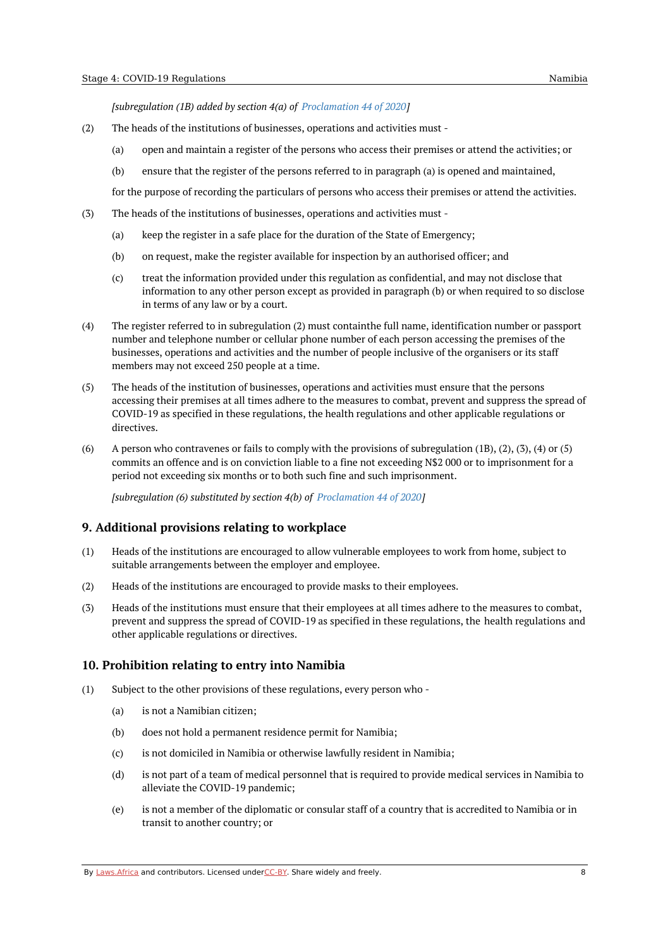*[subregulation (1B) added by section 4(a) of [Proclamation](https://africanlii.org/akn/na/act/p/2020/44) 44 of 2020]*

- (2) The heads of the institutions of businesses, operations and activities must -
	- (a) open and maintain a register of the persons who access their premises or attend the activities; or
	- (b) ensure that the register of the persons referred to in paragraph (a) is opened and maintained,

for the purpose of recording the particulars of persons who access their premises or attend the activities.

- (3) The heads of the institutions of businesses, operations and activities must -
	- (a) keep the register in a safe place for the duration of the State of Emergency;
	- (b) on request, make the register available for inspection by an authorised officer; and
	- (c) treat the information provided under this regulation as confidential, and may not disclose that information to any other person except as provided in paragraph (b) or when required to so disclose in terms of any law or by a court.
- (4) The register referred to in subregulation (2) must containthe full name, identification number or passport number and telephone number or cellular phone number of each person accessing the premises of the businesses, operations and activities and the number of people inclusive of the organisers or its staff members may not exceed 250 people at a time.
- (5) The heads of the institution of businesses, operations and activities must ensure that the persons accessing their premises at all times adhere to the measures to combat, prevent and suppress the spread of COVID-19 as specified in these regulations, the health regulations and other applicable regulations or directives.
- (6) A person who contravenes or fails to comply with the provisions of subregulation (1B), (2), (3), (4) or (5) commits an offence and is on conviction liable to a fine not exceeding N\$2 000 or to imprisonment for a period not exceeding six months or to both such fine and such imprisonment.

*[subregulation (6) substituted by section 4(b) of [Proclamation](https://africanlii.org/akn/na/act/p/2020/44) 44 of 2020]*

## <span id="page-7-0"></span>**9. Additional provisions relating to workplace**

- (1) Heads of the institutions are encouraged to allow vulnerable employees to work from home, subject to suitable arrangements between the employer and employee.
- (2) Heads of the institutions are encouraged to provide masks to their employees.
- (3) Heads of the institutions must ensure that their employees at all times adhere to the measures to combat, prevent and suppress the spread of COVID-19 as specified in these regulations, the health regulations and other applicable regulations or directives.

## <span id="page-7-1"></span>**10. Prohibition relating to entry into Namibia**

- (1) Subject to the other provisions of these regulations, every person who -
	- (a) is not a Namibian citizen;
	- (b) does not hold a permanent residence permit for Namibia;
	- (c) is not domiciled in Namibia or otherwise lawfully resident in Namibia;
	- (d) is not part of a team of medical personnel that is required to provide medical services in Namibia to alleviate the COVID-19 pandemic;
	- (e) is not a member of the diplomatic or consular staff of a country that is accredited to Namibia or in transit to another country; or

By [Laws.Africa](https://edit.laws.africa/widgets/pdf-attribution) and contributors. Licensed und[erCC-B](https://edit.laws.africa/widgets/pdf-cc-by)Y. Share widely and freely. **8** 8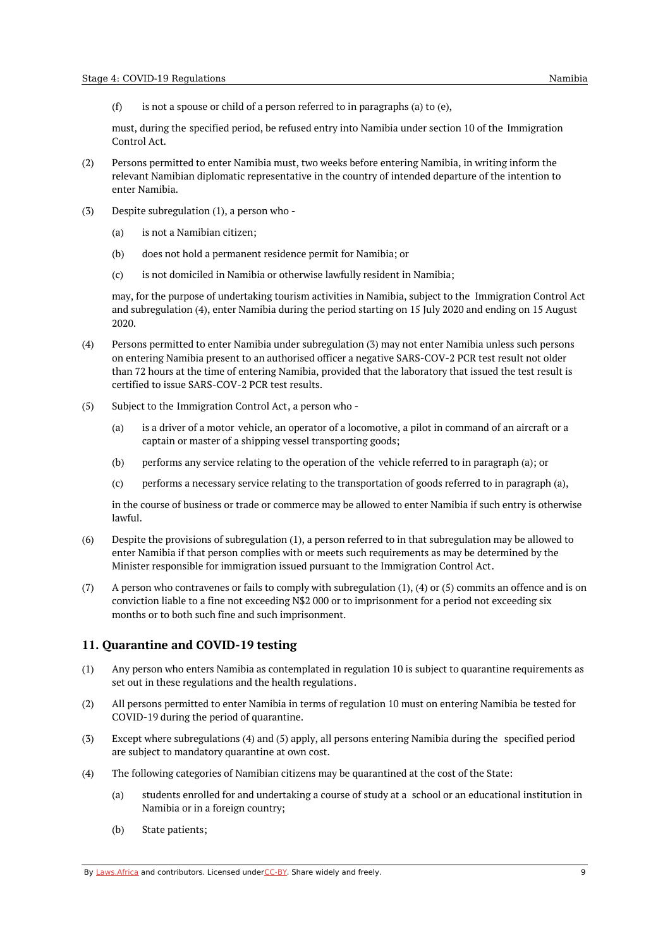(f) is not a spouse or child of a person referred to in paragraphs (a) to (e),

must, during the specified period, be refused entry into Namibia under section 10 of the Immigration Control Act.

- (2) Persons permitted to enter Namibia must, two weeks before entering Namibia, in writing inform the relevant Namibian diplomatic representative in the country of intended departure of the intention to enter Namibia.
- (3) Despite subregulation (1), a person who -
	- (a) is not a Namibian citizen;
	- (b) does not hold a permanent residence permit for Namibia; or
	- $(c)$ is not domiciled in Namibia or otherwise lawfully resident in Namibia;

may, for the purpose of undertaking tourism activities in Namibia, subject to the Immigration Control Act and subregulation (4), enter Namibia during the period starting on 15 July 2020 and ending on 15 August 2020.

- (4) Persons permitted to enter Namibia under subregulation (3) may not enter Namibia unless such persons on entering Namibia present to an authorised officer a negative SARS-COV-2 PCR test result not older than 72 hours at the time of entering Namibia, provided that the laboratory that issued the test result is certified to issue SARS-COV-2 PCR test results.
- (5) Subject to the Immigration Control Act, a person who -
	- (a) is a driver of a motor vehicle, an operator of a locomotive, a pilot in command of an aircraft or a captain or master of a shipping vessel transporting goods;
	- (b) performs any service relating to the operation of the vehicle referred to in paragraph (a); or
	- (c) performs a necessary service relating to the transportation of goods referred to in paragraph (a),

in the course of business or trade or commerce may be allowed to enter Namibia if such entry is otherwise lawful.

- (6) Despite the provisions of subregulation (1), a person referred to in that subregulation may be allowed to enter Namibia if that person complies with or meets such requirements as may be determined by the Minister responsible for immigration issued pursuant to the Immigration Control Act.
- (7) A person who contravenes or fails to comply with subregulation (1), (4) or (5) commits an offence and is on conviction liable to a fine not exceeding N\$2 000 or to imprisonment for a period not exceeding six months or to both such fine and such imprisonment.

## <span id="page-8-0"></span>**11. Quarantine and COVID-19 testing**

- (1) Any person who enters Namibia as contemplated in regulation 10 is subject to quarantine requirements as set out in these regulations and the health regulations.
- (2) All persons permitted to enter Namibia in terms of regulation 10 must on entering Namibia be tested for COVID-19 during the period of quarantine.
- (3) Except where subregulations (4) and (5) apply, all persons entering Namibia during the specified period are subject to mandatory quarantine at own cost.
- (4) The following categories of Namibian citizens may be quarantined at the cost of the State:
	- (a) students enrolled for and undertaking a course of study at a school or an educational institution in Namibia or in a foreign country;
	- (b) State patients;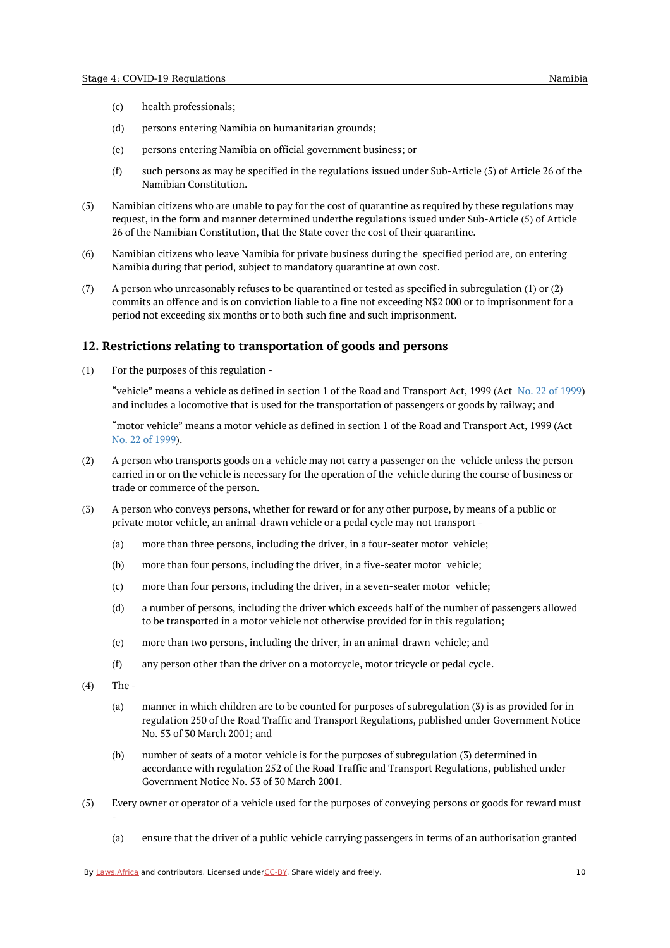- (c) health professionals;
- (d) persons entering Namibia on humanitarian grounds;
- (e) persons entering Namibia on official government business; or
- (f) such persons as may be specified in the regulations issued under Sub-Article (5) of Article 26 of the Namibian Constitution.
- $(5)$ Namibian citizens who are unable to pay for the cost of quarantine as required by these regulations may request, in the form and manner determined underthe regulations issued under Sub-Article (5) of Article 26 of the Namibian Constitution, that the State cover the cost of their quarantine.
- (6) Namibian citizens who leave Namibia for private business during the specified period are, on entering Namibia during that period, subject to mandatory quarantine at own cost.
- (7) A person who unreasonably refuses to be quarantined or tested as specified in subregulation (1) or (2) commits an offence and is on conviction liable to a fine not exceeding N\$2 000 or to imprisonment for a period not exceeding six months or to both such fine and such imprisonment.

## <span id="page-9-0"></span>**12. Restrictions relating to transportation of goods and persons**

(1) For the purposes of this regulation -

> "vehicle" means a vehicle as defined in section 1 of the Road and Transport Act, 1999 (Act No. 22 of [1999](https://africanlii.org/akn/na/act/1999/22)) and includes a locomotive that is used for the transportation of passengers or goods by railway; and

"motor vehicle" means a motor vehicle as defined in section 1 of the Road and Transport Act, 1999 (Act No. 22 of [1999](https://africanlii.org/akn/na/act/1999/22)).

- (2) A person who transports goods on a vehicle may not carry a passenger on the vehicle unless the person carried in or on the vehicle is necessary for the operation of the vehicle during the course of business or trade or commerce of the person.
- (3) A person who conveys persons, whether for reward or for any other purpose, by means of a public or private motor vehicle, an animal-drawn vehicle or a pedal cycle may not transport -
	- (a) more than three persons, including the driver, in a four-seater motor vehicle;
	- (b) more than four persons, including the driver, in a five-seater motor vehicle;
	- (c) more than four persons, including the driver, in a seven-seater motor vehicle;
	- (d) a number of persons, including the driver which exceeds half of the number of passengers allowed to be transported in a motor vehicle not otherwise provided for in this regulation;
	- (e) more than two persons, including the driver, in an animal-drawn vehicle; and
	- (f) any person other than the driver on a motorcycle, motor tricycle or pedal cycle.
- $(4)$ The -

-

- (a) manner in which children are to be counted for purposes of subregulation (3) is as provided for in regulation 250 of the Road Traffic and Transport Regulations, published under Government Notice No. 53 of 30 March 2001; and
- (b) number of seats of a motor vehicle is for the purposes of subregulation (3) determined in accordance with regulation 252 of the Road Traffic and Transport Regulations, published under Government Notice No. 53 of 30 March 2001.
- (5) Every owner or operator of a vehicle used for the purposes of conveying persons or goods for reward must
	- (a) ensure that the driver of a public vehicle carrying passengers in terms of an authorisation granted